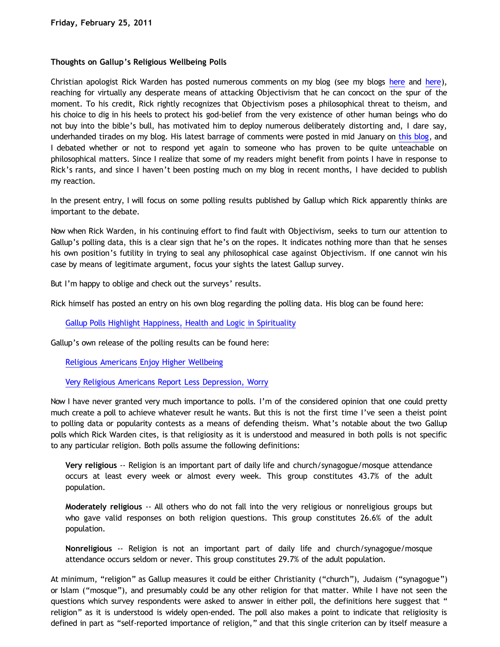## **Thoughts on Gallup's Religious Wellbeing Polls**

Christian apologist Rick Warden has posted numerous comments on my blog (see my blogs [here](http://bahnsenburner.blogspot.com/2010/08/critique-of-sye-ten-bruggencates.html) and [here\)](http://bahnsenburner.blogspot.com/2010/10/rick-wardens-critique-of-objectivism.html), reaching for virtually any desperate means of attacking Objectivism that he can concoct on the spur of the moment. To his credit, Rick rightly recognizes that Objectivism poses a philosophical threat to theism, and his choice to dig in his heels to protect his god-belief from the very existence of other human beings who do not buy into the bible's bull, has motivated him to deploy numerous deliberately distorting and, I dare say, underhanded tirades on my blog. His latest barrage of comments were posted in mid January on [this blog,](http://bahnsenburner.blogspot.com/2010/10/rick-wardens-critique-of-objectivism.html) and I debated whether or not to respond yet again to someone who has proven to be quite unteachable on philosophical matters. Since I realize that some of my readers might benefit from points I have in response to Rick's rants, and since I haven't been posting much on my blog in recent months, I have decided to publish my reaction.

In the present entry, I will focus on some polling results published by Gallup which Rick apparently thinks are important to the debate.

Now when Rick Warden, in his continuing effort to find fault with Objectivism, seeks to turn our attention to Gallup's polling data, this is a clear sign that he's on the ropes. It indicates nothing more than that he senses his own position's futility in trying to seal any philosophical case against Objectivism. If one cannot win his case by means of legitimate argument, focus your sights the latest Gallup survey.

But I'm happy to oblige and check out the surveys' results.

Rick himself has posted an entry on his own blog regarding the polling data. His blog can be found here:

[Gallup Polls Highlight Happiness, Health and Logic in Spirituality](http://templestream.blogspot.com/2010/12/gallup-polls-highlight-happiness-health.html)

Gallup's own release of the polling results can be found here:

[Religious Americans Enjoy Higher Wellbeing](http://www.gallup.com/poll/144080/Religious-Americans-Enjoy-Higher-Wellbeing.aspx)

[Very Religious Americans Report Less Depression, Worry](http://www.gallup.com/poll/144980/Religious-Americans-Report-Less-Depression-Worry.aspx)

Now I have never granted very much importance to polls. I'm of the considered opinion that one could pretty much create a poll to achieve whatever result he wants. But this is not the first time I've seen a theist point to polling data or popularity contests as a means of defending theism. What's notable about the two Gallup polls which Rick Warden cites, is that religiosity as it is understood and measured in both polls is not specific to any particular religion. Both polls assume the following definitions:

**Very religious** -- Religion is an important part of daily life and church/synagogue/mosque attendance occurs at least every week or almost every week. This group constitutes 43.7% of the adult population.

**Moderately religious** -- All others who do not fall into the very religious or nonreligious groups but who gave valid responses on both religion questions. This group constitutes 26.6% of the adult population.

**Nonreligious** -- Religion is not an important part of daily life and church/synagogue/mosque attendance occurs seldom or never. This group constitutes 29.7% of the adult population.

At minimum, "religion" as Gallup measures it could be either Christianity ("church"), Judaism ("synagogue") or Islam ("mosque"), and presumably could be any other religion for that matter. While I have not seen the questions which survey respondents were asked to answer in either poll, the definitions here suggest that " religion" as it is understood is widely open-ended. The poll also makes a point to indicate that religiosity is defined in part as "self-reported importance of religion," and that this single criterion can by itself measure a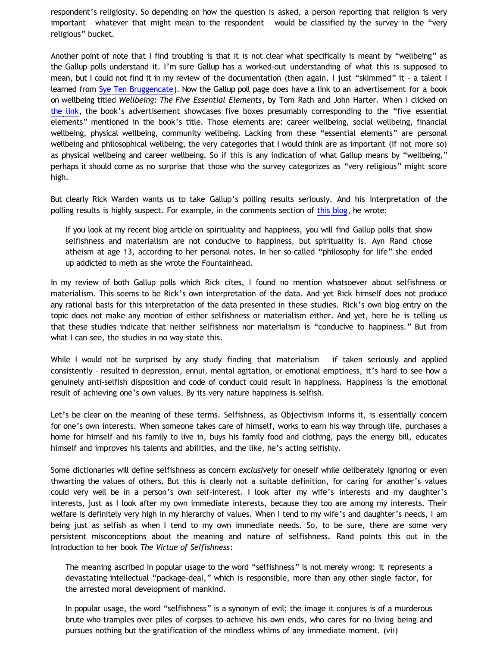respondent's religiosity. So depending on how the question is asked, a person reporting that religion is very important – whatever that might mean to the respondent – would be classified by the survey in the "very religious" bucket.

Another point of note that I find troubling is that it is not clear what specifically is meant by "wellbeing" as the Gallup polls understand it. I'm sure Gallup has a worked-out understanding of what this is supposed to mean, but I could not find it in my review of the documentation (then again, I just "skimmed" it – a talent I learned from [Sye Ten Bruggencate](http://bahnsenburner.blogspot.com/2010/08/critique-of-sye-ten-bruggencates.html)). Now the Gallup poll page does have a link to an advertisement for a book on wellbeing titled *Wellbeing: The Five Essential Elements*, by Tom Rath and John Harter. When I clicked on [the link,](http://www.wbfinder.com/home.aspx) the book's advertisement showcases five boxes presumably corresponding to the "five essential elements" mentioned in the book's title. Those elements are: career wellbeing, social wellbeing, financial wellbeing, physical wellbeing, community wellbeing. Lacking from these "essential elements" are personal wellbeing and philosophical wellbeing, the very categories that I would think are as important (if not more so) as physical wellbeing and career wellbeing. So if this is any indication of what Gallup means by "wellbeing," perhaps it should come as no surprise that those who the survey categorizes as "very religious" might score high.

But clearly Rick Warden wants us to take Gallup's polling results seriously. And his interpretation of the polling results is highly suspect. For example, in the comments section of [this blog](http://bahnsenburner.blogspot.com/2010/10/rick-wardens-critique-of-objectivism.html), he wrote:

If you look at my recent blog article on spirituality and happiness, you will find Gallup polls that show selfishness and materialism are not conducive to happiness, but spirituality is. Ayn Rand chose atheism at age 13, according to her personal notes. In her so-called "philosophy for life" she ended up addicted to meth as she wrote the Fountainhead.

In my review of both Gallup polls which Rick cites, I found no mention whatsoever about selfishness or materialism. This seems to be Rick's own interpretation of the data. And yet Rick himself does not produce any rational basis for this interpretation of the data presented in these studies. Rick's own blog entry on the topic does not make any mention of either selfishness or materialism either. And yet, here he is telling us that these studies indicate that neither selfishness nor materialism is "conducive to happiness." But from what I can see, the studies in no way state this.

While I would not be surprised by any study finding that materialism - if taken seriously and applied consistently – resulted in depression, ennui, mental agitation, or emotional emptiness, it's hard to see how a genuinely anti-selfish disposition and code of conduct could result in happiness. Happiness is the emotional result of achieving one's own values. By its very nature happiness is selfish.

Let's be clear on the meaning of these terms. Selfishness, as Objectivism informs it, is essentially concern for one's own interests. When someone takes care of himself, works to earn his way through life, purchases a home for himself and his family to live in, buys his family food and clothing, pays the energy bill, educates himself and improves his talents and abilities, and the like, he's acting selfishly.

Some dictionaries will define selfishness as concern *exclusively* for oneself while deliberately ignoring or even thwarting the values of others. But this is clearly not a suitable definition, for caring for another's values could very well be in a person's own self-interest. I look after my wife's interests and my daughter's interests, just as I look after my own immediate interests, because they too are among my interests. Their welfare is definitely very high in my hierarchy of values. When I tend to my wife's and daughter's needs, I am being just as selfish as when I tend to my own immediate needs. So, to be sure, there are some very persistent misconceptions about the meaning and nature of selfishness. Rand points this out in the Introduction to her book *The Virtue of Selfishness*:

The meaning ascribed in popular usage to the word "selfishness" is not merely wrong: it represents a devastating intellectual "package-deal," which is responsible, more than any other single factor, for the arrested moral development of mankind.

In popular usage, the word "selfishness" is a synonym of evil; the image it conjures is of a murderous brute who tramples over piles of corpses to achieve his own ends, who cares for no living being and pursues nothing but the gratification of the mindless whims of any immediate moment. (vii)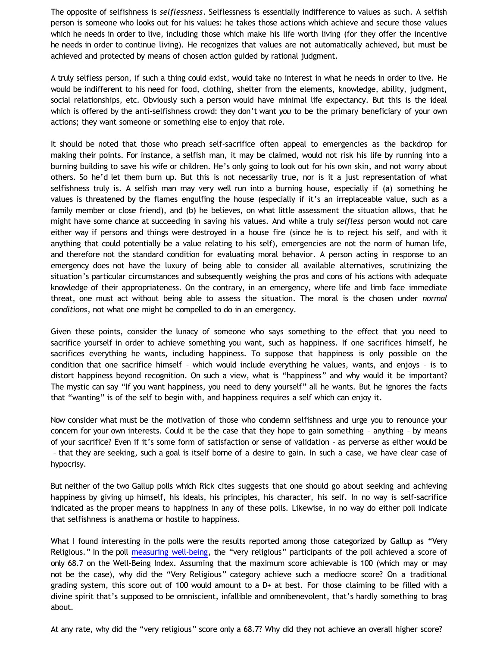The opposite of selfishness is *selflessness*. Selflessness is essentially indifference to values as such. A selfish person is someone who looks out for his values: he takes those actions which achieve and secure those values which he needs in order to live, including those which make his life worth living (for they offer the incentive he needs in order to continue living). He recognizes that values are not automatically achieved, but must be achieved and protected by means of chosen action guided by rational judgment.

A truly selfless person, if such a thing could exist, would take no interest in what he needs in order to live. He would be indifferent to his need for food, clothing, shelter from the elements, knowledge, ability, judgment, social relationships, etc. Obviously such a person would have minimal life expectancy. But this is the ideal which is offered by the anti-selfishness crowd: they don't want *you* to be the primary beneficiary of your own actions; they want someone or something else to enjoy that role.

It should be noted that those who preach self-sacrifice often appeal to emergencies as the backdrop for making their points. For instance, a selfish man, it may be claimed, would not risk his life by running into a burning building to save his wife or children. He's only going to look out for his own skin, and not worry about others. So he'd let them burn up. But this is not necessarily true, nor is it a just representation of what selfishness truly is. A selfish man may very well run into a burning house, especially if (a) something he values is threatened by the flames engulfing the house (especially if it's an irreplaceable value, such as a family member or close friend), and (b) he believes, on what little assessment the situation allows, that he might have some chance at succeeding in saving his values. And while a truly *selfless* person would not care either way if persons and things were destroyed in a house fire (since he is to reject his self, and with it anything that could potentially be a value relating to his self), emergencies are not the norm of human life, and therefore not the standard condition for evaluating moral behavior. A person acting in response to an emergency does not have the luxury of being able to consider all available alternatives, scrutinizing the situation's particular circumstances and subsequently weighing the pros and cons of his actions with adequate knowledge of their appropriateness. On the contrary, in an emergency, where life and limb face immediate threat, one must act without being able to assess the situation. The moral is the chosen under *normal conditions*, not what one might be compelled to do in an emergency.

Given these points, consider the lunacy of someone who says something to the effect that you need to sacrifice yourself in order to achieve something you want, such as happiness. If one sacrifices himself, he sacrifices everything he wants, including happiness. To suppose that happiness is only possible on the condition that one sacrifice himself – which would include everything he values, wants, and enjoys – is to distort happiness beyond recognition. On such a view, what is "happiness" and why would it be important? The mystic can say "If you want happiness, you need to deny yourself" all he wants. But he ignores the facts that "wanting" is of the self to begin with, and happiness requires a self which can enjoy it.

Now consider what must be the motivation of those who condemn selfishness and urge you to renounce your concern for your own interests. Could it be the case that they hope to gain something – anything – by means of your sacrifice? Even if it's some form of satisfaction or sense of validation – as perverse as either would be – that they are seeking, such a goal is itself borne of a desire to gain. In such a case, we have clear case of hypocrisy.

But neither of the two Gallup polls which Rick cites suggests that one should go about seeking and achieving happiness by giving up himself, his ideals, his principles, his character, his self. In no way is self-sacrifice indicated as the proper means to happiness in any of these polls. Likewise, in no way do either poll indicate that selfishness is anathema or hostile to happiness.

What I found interesting in the polls were the results reported among those categorized by Gallup as "Very Religious." In the poll [measuring well-being](http://www.gallup.com/poll/144080/Religious-Americans-Enjoy-Higher-Wellbeing.aspx), the "very religious" participants of the poll achieved a score of only 68.7 on the Well-Being Index. Assuming that the maximum score achievable is 100 (which may or may not be the case), why did the "Very Religious" category achieve such a mediocre score? On a traditional grading system, this score out of 100 would amount to a  $D+$  at best. For those claiming to be filled with a divine spirit that's supposed to be omniscient, infallible and omnibenevolent, that's hardly something to brag about.

At any rate, why did the "very religious" score only a 68.7? Why did they not achieve an overall higher score?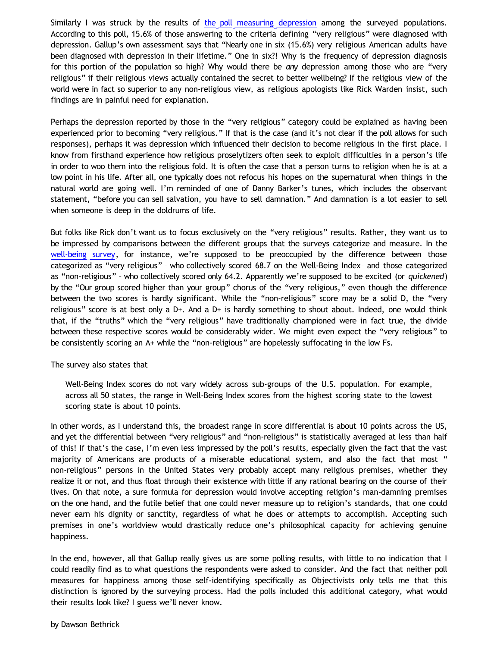Similarly I was struck by the results of [the poll measuring depression](http://www.gallup.com/poll/144980/Religious-Americans-Report-Less-Depression-Worry.aspx) among the surveyed populations. According to this poll, 15.6% of those answering to the criteria defining "very religious" were diagnosed with depression. Gallup's own assessment says that "Nearly one in six (15.6%) very religious American adults have been diagnosed with depression in their lifetime." One in six?! Why is the frequency of depression diagnosis for this portion of the population so high? Why would there be *any* depression among those who are "very religious" if their religious views actually contained the secret to better wellbeing? If the religious view of the world were in fact so superior to any non-religious view, as religious apologists like Rick Warden insist, such findings are in painful need for explanation.

Perhaps the depression reported by those in the "very religious" category could be explained as having been experienced prior to becoming "very religious." If that is the case (and it's not clear if the poll allows for such responses), perhaps it was depression which influenced their decision to become religious in the first place. I know from firsthand experience how religious proselytizers often seek to exploit difficulties in a person's life in order to woo them into the religious fold. It is often the case that a person turns to religion when he is at a low point in his life. After all, one typically does not refocus his hopes on the supernatural when things in the natural world are going well. I'm reminded of one of Danny Barker's tunes, which includes the observant statement, "before you can sell salvation, you have to sell damnation." And damnation is a lot easier to sell when someone is deep in the doldrums of life.

But folks like Rick don't want us to focus exclusively on the "very religious" results. Rather, they want us to be impressed by comparisons between the different groups that the surveys categorize and measure. In the [well-being survey,](http://www.gallup.com/poll/144080/Religious-Americans-Enjoy-Higher-Wellbeing.aspx) for instance, we're supposed to be preoccupied by the difference between those categorized as "very religious" – who collectively scored 68.7 on the Well-Being Index– and those categorized as "non-religious" – who collectively scored only 64.2. Apparently we're supposed to be excited (or *quickened*) by the "Our group scored higher than your group" chorus of the "very religious," even though the difference between the two scores is hardly significant. While the "non-religious" score may be a solid D, the "very religious" score is at best only a D+. And a D+ is hardly something to shout about. Indeed, one would think that, if the "truths" which the "very religious" have traditionally championed were in fact true, the divide between these respective scores would be considerably wider. We might even expect the "very religious" to be consistently scoring an A+ while the "non-religious" are hopelessly suffocating in the low Fs.

The survey also states that

Well-Being Index scores do not vary widely across sub-groups of the U.S. population. For example, across all 50 states, the range in Well-Being Index scores from the highest scoring state to the lowest scoring state is about 10 points.

In other words, as I understand this, the broadest range in score differential is about 10 points across the US, and yet the differential between "very religious" and "non-religious" is statistically averaged at less than half of this! If that's the case, I'm even less impressed by the poll's results, especially given the fact that the vast majority of Americans are products of a miserable educational system, and also the fact that most " non-religious" persons in the United States very probably accept many religious premises, whether they realize it or not, and thus float through their existence with little if any rational bearing on the course of their lives. On that note, a sure formula for depression would involve accepting religion's man-damning premises on the one hand, and the futile belief that one could never measure up to religion's standards, that one could never earn his dignity or sanctity, regardless of what he does or attempts to accomplish. Accepting such premises in one's worldview would drastically reduce one's philosophical capacity for achieving genuine happiness.

In the end, however, all that Gallup really gives us are some polling results, with little to no indication that I could readily find as to what questions the respondents were asked to consider. And the fact that neither poll measures for happiness among those self-identifying specifically as Objectivists only tells me that this distinction is ignored by the surveying process. Had the polls included this additional category, what would their results look like? I guess we'll never know.